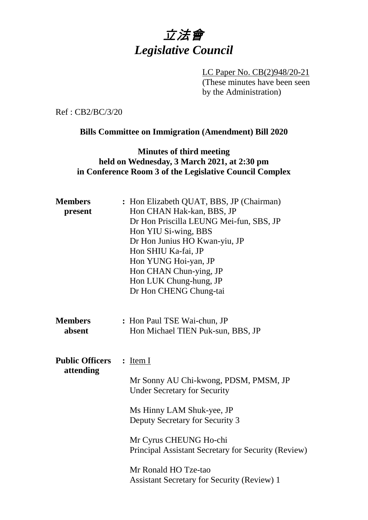

LC Paper No. CB(2)948/20-21 (These minutes have been seen by the Administration)

Ref : CB2/BC/3/20

#### **Bills Committee on Immigration (Amendment) Bill 2020**

### **Minutes of third meeting held on Wednesday, 3 March 2021, at 2:30 pm in Conference Room 3 of the Legislative Council Complex**

| <b>Members</b><br>present           | : Hon Elizabeth QUAT, BBS, JP (Chairman)<br>Hon CHAN Hak-kan, BBS, JP<br>Dr Hon Priscilla LEUNG Mei-fun, SBS, JP<br>Hon YIU Si-wing, BBS<br>Dr Hon Junius HO Kwan-yiu, JP<br>Hon SHIU Ka-fai, JP<br>Hon YUNG Hoi-yan, JP<br>Hon CHAN Chun-ying, JP<br>Hon LUK Chung-hung, JP<br>Dr Hon CHENG Chung-tai                    |
|-------------------------------------|---------------------------------------------------------------------------------------------------------------------------------------------------------------------------------------------------------------------------------------------------------------------------------------------------------------------------|
| <b>Members</b><br>absent            | : Hon Paul TSE Wai-chun, JP<br>Hon Michael TIEN Puk-sun, BBS, JP                                                                                                                                                                                                                                                          |
| <b>Public Officers</b><br>attending | $:$ Item I<br>Mr Sonny AU Chi-kwong, PDSM, PMSM, JP<br><b>Under Secretary for Security</b><br>Ms Hinny LAM Shuk-yee, JP<br>Deputy Secretary for Security 3<br>Mr Cyrus CHEUNG Ho-chi<br>Principal Assistant Secretary for Security (Review)<br>Mr Ronald HO Tze-tao<br><b>Assistant Secretary for Security (Review) 1</b> |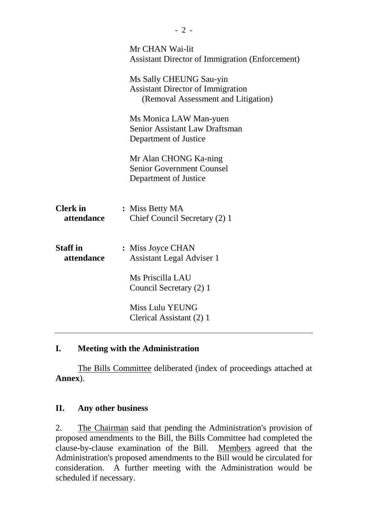|                               | Mr CHAN Wai-lit<br><b>Assistant Director of Immigration (Enforcement)</b><br>Ms Sally CHEUNG Sau-yin<br><b>Assistant Director of Immigration</b><br>(Removal Assessment and Litigation)<br>Ms Monica LAW Man-yuen<br>Senior Assistant Law Draftsman<br>Department of Justice |
|-------------------------------|------------------------------------------------------------------------------------------------------------------------------------------------------------------------------------------------------------------------------------------------------------------------------|
|                               | Mr Alan CHONG Ka-ning<br><b>Senior Government Counsel</b><br>Department of Justice                                                                                                                                                                                           |
| <b>Clerk</b> in<br>attendance | : Miss Betty MA<br>Chief Council Secretary (2) 1                                                                                                                                                                                                                             |
| <b>Staff</b> in<br>attendance | : Miss Joyce CHAN<br><b>Assistant Legal Adviser 1</b><br>Ms Priscilla LAU<br>Council Secretary (2) 1<br>Miss Lulu YEUNG<br>Clerical Assistant (2) 1                                                                                                                          |
|                               |                                                                                                                                                                                                                                                                              |

### **I. Meeting with the Administration**

The Bills Committee deliberated (index of proceedings attached at **Annex**).

# **II. Any other business**

2. The Chairman said that pending the Administration's provision of proposed amendments to the Bill, the Bills Committee had completed the clause-by-clause examination of the Bill. Members agreed that the Administration's proposed amendments to the Bill would be circulated for consideration. A further meeting with the Administration would be scheduled if necessary.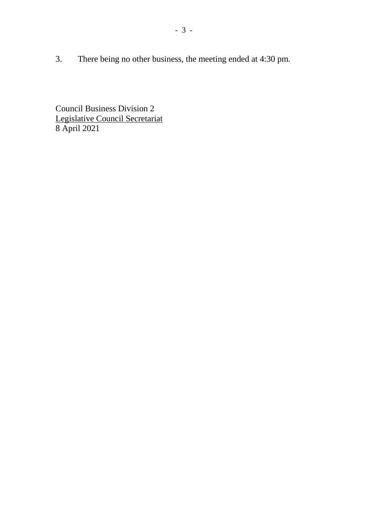3. There being no other business, the meeting ended at 4:30 pm.

Council Business Division 2 Legislative Council Secretariat 8 April 2021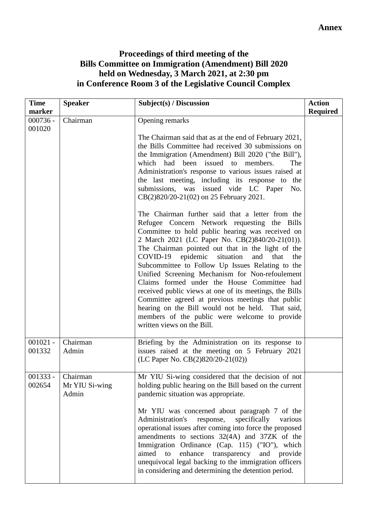# **Proceedings of third meeting of the Bills Committee on Immigration (Amendment) Bill 2020 held on Wednesday, 3 March 2021, at 2:30 pm in Conference Room 3 of the Legislative Council Complex**

| <b>Time</b>          | <b>Speaker</b>                      | Subject(s) / Discussion                                                                                                                                                                                                                                                                                                                                                                                                                                                                                                                                                                                                                                                                                                                                     | <b>Action</b>   |
|----------------------|-------------------------------------|-------------------------------------------------------------------------------------------------------------------------------------------------------------------------------------------------------------------------------------------------------------------------------------------------------------------------------------------------------------------------------------------------------------------------------------------------------------------------------------------------------------------------------------------------------------------------------------------------------------------------------------------------------------------------------------------------------------------------------------------------------------|-----------------|
| marker               |                                     |                                                                                                                                                                                                                                                                                                                                                                                                                                                                                                                                                                                                                                                                                                                                                             | <b>Required</b> |
| $000736 -$<br>001020 | Chairman                            | Opening remarks<br>The Chairman said that as at the end of February 2021,<br>the Bills Committee had received 30 submissions on<br>the Immigration (Amendment) Bill 2020 ("the Bill"),<br>which had been issued to members.<br>The<br>Administration's response to various issues raised at<br>the last meeting, including its response to the<br>submissions, was issued vide LC Paper<br>No.<br>CB(2)820/20-21(02) on 25 February 2021.<br>The Chairman further said that a letter from the<br>Refugee Concern Network requesting the Bills<br>Committee to hold public hearing was received on<br>2 March 2021 (LC Paper No. CB(2)840/20-21(01)).<br>The Chairman pointed out that in the light of the<br>COVID-19 epidemic situation and<br>that<br>the |                 |
|                      |                                     | Subcommittee to Follow Up Issues Relating to the<br>Unified Screening Mechanism for Non-refoulement<br>Claims formed under the House Committee had<br>received public views at one of its meetings, the Bills<br>Committee agreed at previous meetings that public<br>hearing on the Bill would not be held. That said,<br>members of the public were welcome to provide<br>written views on the Bill.                                                                                                                                                                                                                                                                                                                                                      |                 |
| $001021 -$<br>001332 | Chairman<br>Admin                   | Briefing by the Administration on its response to<br>issues raised at the meeting on 5 February 2021<br>(LC Paper No. CB(2)820/20-21(02))                                                                                                                                                                                                                                                                                                                                                                                                                                                                                                                                                                                                                   |                 |
| 001333 -<br>002654   | Chairman<br>Mr YIU Si-wing<br>Admin | Mr YIU Si-wing considered that the decision of not<br>holding public hearing on the Bill based on the current<br>pandemic situation was appropriate.<br>Mr YIU was concerned about paragraph 7 of the<br>Administration's<br>specifically<br>response,<br>various<br>operational issues after coming into force the proposed<br>amendments to sections 32(4A) and 37ZK of the<br>Immigration Ordinance (Cap. 115) ("IO"), which<br>aimed<br>enhance<br>transparency<br>to<br>and provide<br>unequivocal legal backing to the immigration officers<br>in considering and determining the detention period.                                                                                                                                                   |                 |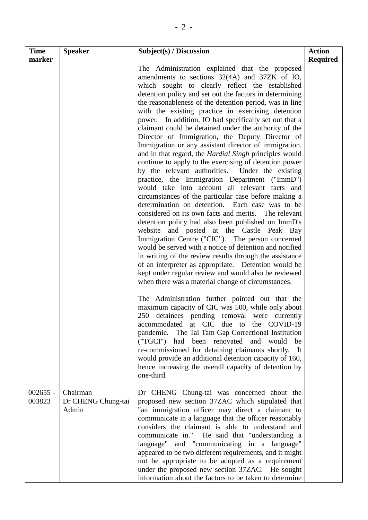| <b>Time</b><br>marker | <b>Speaker</b>                          | Subject(s) / Discussion                                                                                                                                                                                                                                                                                                                                                                                                                                                                                                                                                                                                                                                                                                                                                                                                                                                                                                                                                                                                                                                                                                                                                                                                                                                                                                                                                                                                                                                                                                                                                                                                                                                                                                                                                                                                                                                                                                                                                 | <b>Action</b><br><b>Required</b> |
|-----------------------|-----------------------------------------|-------------------------------------------------------------------------------------------------------------------------------------------------------------------------------------------------------------------------------------------------------------------------------------------------------------------------------------------------------------------------------------------------------------------------------------------------------------------------------------------------------------------------------------------------------------------------------------------------------------------------------------------------------------------------------------------------------------------------------------------------------------------------------------------------------------------------------------------------------------------------------------------------------------------------------------------------------------------------------------------------------------------------------------------------------------------------------------------------------------------------------------------------------------------------------------------------------------------------------------------------------------------------------------------------------------------------------------------------------------------------------------------------------------------------------------------------------------------------------------------------------------------------------------------------------------------------------------------------------------------------------------------------------------------------------------------------------------------------------------------------------------------------------------------------------------------------------------------------------------------------------------------------------------------------------------------------------------------------|----------------------------------|
|                       |                                         | The Administration explained that the proposed<br>amendments to sections 32(4A) and 37ZK of IO,<br>which sought to clearly reflect the established<br>detention policy and set out the factors in determining<br>the reasonableness of the detention period, was in line<br>with the existing practice in exercising detention<br>power. In addition, IO had specifically set out that a<br>claimant could be detained under the authority of the<br>Director of Immigration, the Deputy Director of<br>Immigration or any assistant director of immigration,<br>and in that regard, the <i>Hardial Singh</i> principles would<br>continue to apply to the exercising of detention power<br>by the relevant authorities. Under the existing<br>practice, the Immigration Department ("ImmD")<br>would take into account all relevant facts and<br>circumstances of the particular case before making a<br>determination on detention. Each case was to be<br>considered on its own facts and merits. The relevant<br>detention policy had also been published on ImmD's<br>website and posted at the Castle Peak Bay<br>Immigration Centre ("CIC"). The person concerned<br>would be served with a notice of detention and notified<br>in writing of the review results through the assistance<br>of an interpreter as appropriate. Detention would be<br>kept under regular review and would also be reviewed<br>when there was a material change of circumstances.<br>The Administration further pointed out that the<br>maximum capacity of CIC was 500, while only about<br>250 detainees pending removal were currently<br>accommodated at CIC due to the COVID-19<br>pandemic. The Tai Tam Gap Correctional Institution<br>("TGCI") had been renovated and would<br>be<br>re-commissioned for detaining claimants shortly.<br>It<br>would provide an additional detention capacity of 160,<br>hence increasing the overall capacity of detention by<br>one-third. |                                  |
| $002655 -$<br>003823  | Chairman<br>Dr CHENG Chung-tai<br>Admin | Dr CHENG Chung-tai was concerned about the<br>proposed new section 37ZAC which stipulated that<br>"an immigration officer may direct a claimant to<br>communicate in a language that the officer reasonably<br>considers the claimant is able to understand and<br>communicate in." He said that "understanding a<br>language" and "communicating in a language"<br>appeared to be two different requirements, and it might<br>not be appropriate to be adopted as a requirement<br>under the proposed new section 37ZAC. He sought<br>information about the factors to be taken to determine                                                                                                                                                                                                                                                                                                                                                                                                                                                                                                                                                                                                                                                                                                                                                                                                                                                                                                                                                                                                                                                                                                                                                                                                                                                                                                                                                                           |                                  |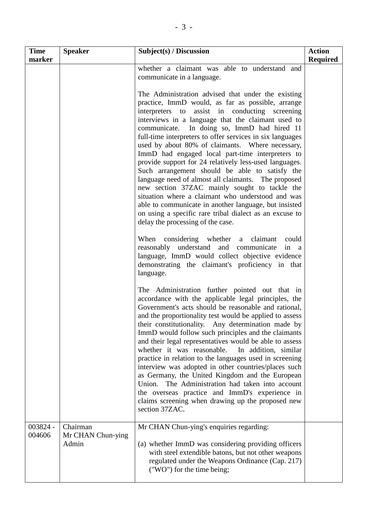| <b>Time</b>        | <b>Speaker</b>                         | Subject(s) / Discussion                                                                                                                                                                                                                                                                                                                                                                                                                                                                                                                                                                                                                                                                                                                                                                                                                                                                                                                                             | <b>Action</b>   |
|--------------------|----------------------------------------|---------------------------------------------------------------------------------------------------------------------------------------------------------------------------------------------------------------------------------------------------------------------------------------------------------------------------------------------------------------------------------------------------------------------------------------------------------------------------------------------------------------------------------------------------------------------------------------------------------------------------------------------------------------------------------------------------------------------------------------------------------------------------------------------------------------------------------------------------------------------------------------------------------------------------------------------------------------------|-----------------|
| marker             |                                        | whether a claimant was able to understand and<br>communicate in a language.                                                                                                                                                                                                                                                                                                                                                                                                                                                                                                                                                                                                                                                                                                                                                                                                                                                                                         | <b>Required</b> |
|                    |                                        | The Administration advised that under the existing<br>practice, ImmD would, as far as possible, arrange<br>interpreters to assist in conducting screening<br>interviews in a language that the claimant used to<br>communicate. In doing so, ImmD had hired 11<br>full-time interpreters to offer services in six languages<br>used by about 80% of claimants. Where necessary,<br>ImmD had engaged local part-time interpreters to<br>provide support for 24 relatively less-used languages.<br>Such arrangement should be able to satisfy the<br>language need of almost all claimants. The proposed<br>new section 37ZAC mainly sought to tackle the<br>situation where a claimant who understood and was<br>able to communicate in another language, but insisted<br>on using a specific rare tribal dialect as an excuse to<br>delay the processing of the case.<br>When considering whether a claimant<br>could<br>reasonably understand and communicate in a |                 |
|                    |                                        | language, ImmD would collect objective evidence<br>demonstrating the claimant's proficiency in that<br>language.                                                                                                                                                                                                                                                                                                                                                                                                                                                                                                                                                                                                                                                                                                                                                                                                                                                    |                 |
|                    |                                        | The Administration further pointed out that in<br>accordance with the applicable legal principles, the<br>Government's acts should be reasonable and rational,<br>and the proportionality test would be applied to assess<br>their constitutionality. Any determination made by<br>ImmD would follow such principles and the claimants<br>and their legal representatives would be able to assess<br>whether it was reasonable.<br>In addition, similar<br>practice in relation to the languages used in screening<br>interview was adopted in other countries/places such<br>as Germany, the United Kingdom and the European<br>The Administration had taken into account<br>Union.<br>the overseas practice and ImmD's experience in<br>claims screening when drawing up the proposed new<br>section 37ZAC.                                                                                                                                                       |                 |
| 003824 -<br>004606 | Chairman<br>Mr CHAN Chun-ying<br>Admin | Mr CHAN Chun-ying's enquiries regarding:<br>(a) whether ImmD was considering providing officers<br>with steel extendible batons, but not other weapons<br>regulated under the Weapons Ordinance (Cap. 217)<br>("WO") for the time being;                                                                                                                                                                                                                                                                                                                                                                                                                                                                                                                                                                                                                                                                                                                            |                 |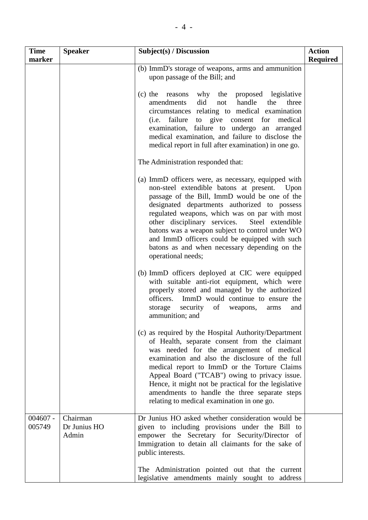| <b>Time</b><br>marker | <b>Speaker</b>                    | Subject(s) / Discussion                                                                                                                                                                                                                                                                                                                                                                                                                                                              | <b>Action</b><br><b>Required</b> |
|-----------------------|-----------------------------------|--------------------------------------------------------------------------------------------------------------------------------------------------------------------------------------------------------------------------------------------------------------------------------------------------------------------------------------------------------------------------------------------------------------------------------------------------------------------------------------|----------------------------------|
|                       |                                   | (b) ImmD's storage of weapons, arms and ammunition<br>upon passage of the Bill; and                                                                                                                                                                                                                                                                                                                                                                                                  |                                  |
|                       |                                   | why the proposed legislative<br>(c) the reasons<br>did<br>amendments<br>not<br>handle<br>the<br>three<br>circumstances relating to medical examination<br>to give consent<br>( <i>i.e.</i> failure<br>for<br>medical<br>examination, failure to undergo an arranged<br>medical examination, and failure to disclose the<br>medical report in full after examination) in one go.                                                                                                      |                                  |
|                       |                                   | The Administration responded that:                                                                                                                                                                                                                                                                                                                                                                                                                                                   |                                  |
|                       |                                   | (a) ImmD officers were, as necessary, equipped with<br>non-steel extendible batons at present. Upon<br>passage of the Bill, ImmD would be one of the<br>designated departments authorized to possess<br>regulated weapons, which was on par with most<br>other disciplinary services.<br>Steel extendible<br>batons was a weapon subject to control under WO<br>and ImmD officers could be equipped with such<br>batons as and when necessary depending on the<br>operational needs; |                                  |
|                       |                                   | (b) ImmD officers deployed at CIC were equipped<br>with suitable anti-riot equipment, which were<br>properly stored and managed by the authorized<br>officers. ImmD would continue to ensure the<br>security<br>of<br>storage<br>weapons,<br>and<br>arms<br>ammunition; and                                                                                                                                                                                                          |                                  |
|                       |                                   | (c) as required by the Hospital Authority/Department<br>of Health, separate consent from the claimant<br>was needed for the arrangement of medical<br>examination and also the disclosure of the full<br>medical report to ImmD or the Torture Claims<br>Appeal Board ("TCAB") owing to privacy issue.<br>Hence, it might not be practical for the legislative<br>amendments to handle the three separate steps<br>relating to medical examination in one go.                        |                                  |
| $004607 -$<br>005749  | Chairman<br>Dr Junius HO<br>Admin | Dr Junius HO asked whether consideration would be<br>given to including provisions under the Bill to<br>empower the Secretary for Security/Director of<br>Immigration to detain all claimants for the sake of<br>public interests.                                                                                                                                                                                                                                                   |                                  |
|                       |                                   | The Administration pointed out that the current<br>legislative amendments mainly sought to address                                                                                                                                                                                                                                                                                                                                                                                   |                                  |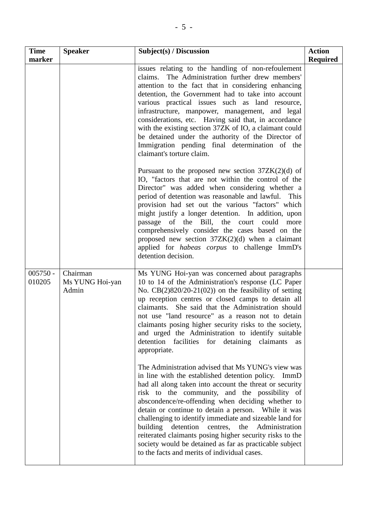| <b>Time</b>          | <b>Speaker</b>                       | Subject(s) / Discussion                                                                                                                                                                                                                                                                                                                                                                                                                                                                                                                                                                                                           | <b>Action</b>   |
|----------------------|--------------------------------------|-----------------------------------------------------------------------------------------------------------------------------------------------------------------------------------------------------------------------------------------------------------------------------------------------------------------------------------------------------------------------------------------------------------------------------------------------------------------------------------------------------------------------------------------------------------------------------------------------------------------------------------|-----------------|
| marker               |                                      |                                                                                                                                                                                                                                                                                                                                                                                                                                                                                                                                                                                                                                   | <b>Required</b> |
|                      |                                      | issues relating to the handling of non-refoulement<br>claims. The Administration further drew members'<br>attention to the fact that in considering enhancing<br>detention, the Government had to take into account<br>various practical issues such as land resource,<br>infrastructure, manpower, management, and legal<br>considerations, etc. Having said that, in accordance<br>with the existing section 37ZK of IO, a claimant could<br>be detained under the authority of the Director of<br>Immigration pending final determination of the<br>claimant's torture claim.                                                  |                 |
|                      |                                      | Pursuant to the proposed new section $37ZK(2)(d)$ of<br>IO, "factors that are not within the control of the<br>Director" was added when considering whether a<br>period of detention was reasonable and lawful.<br><b>This</b><br>provision had set out the various "factors" which<br>might justify a longer detention. In addition, upon<br>passage of the Bill, the court could more<br>comprehensively consider the cases based on the<br>proposed new section $37ZK(2)(d)$ when a claimant<br>applied for <i>habeas</i> corpus to challenge ImmD's<br>detention decision.                                                    |                 |
| $005750 -$<br>010205 | Chairman<br>Ms YUNG Hoi-yan<br>Admin | Ms YUNG Hoi-yan was concerned about paragraphs<br>10 to 14 of the Administration's response (LC Paper<br>No. $CB(2)820/20-21(02)$ on the feasibility of setting<br>up reception centres or closed camps to detain all<br>claimants. She said that the Administration should<br>not use "land resource" as a reason not to detain<br>claimants posing higher security risks to the society,<br>and urged the Administration to identify suitable<br>detention facilities for detaining<br>claimants<br><b>as</b><br>appropriate.                                                                                                   |                 |
|                      |                                      | The Administration advised that Ms YUNG's view was<br>in line with the established detention policy. ImmD<br>had all along taken into account the threat or security<br>risk to the community, and the possibility of<br>abscondence/re-offending when deciding whether to<br>detain or continue to detain a person. While it was<br>challenging to identify immediate and sizeable land for<br>building<br>detention<br>Administration<br>centres,<br>the<br>reiterated claimants posing higher security risks to the<br>society would be detained as far as practicable subject<br>to the facts and merits of individual cases. |                 |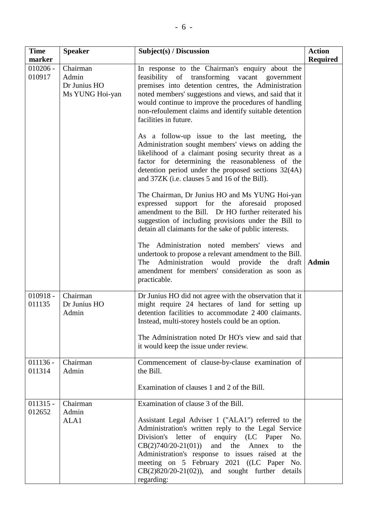| <b>Time</b><br>marker | <b>Speaker</b>                                       | Subject(s) / Discussion                                                                                                                                                                                                                                                                                                                                                                                                                                                                                                                                                                                                                                                                                                                                                                                                                                                                                                                                                                                                                                                                                                                                                                            | <b>Action</b><br><b>Required</b> |
|-----------------------|------------------------------------------------------|----------------------------------------------------------------------------------------------------------------------------------------------------------------------------------------------------------------------------------------------------------------------------------------------------------------------------------------------------------------------------------------------------------------------------------------------------------------------------------------------------------------------------------------------------------------------------------------------------------------------------------------------------------------------------------------------------------------------------------------------------------------------------------------------------------------------------------------------------------------------------------------------------------------------------------------------------------------------------------------------------------------------------------------------------------------------------------------------------------------------------------------------------------------------------------------------------|----------------------------------|
| $010206 -$<br>010917  | Chairman<br>Admin<br>Dr Junius HO<br>Ms YUNG Hoi-yan | In response to the Chairman's enquiry about the<br>feasibility of transforming vacant government<br>premises into detention centres, the Administration<br>noted members' suggestions and views, and said that it<br>would continue to improve the procedures of handling<br>non-refoulement claims and identify suitable detention<br>facilities in future.<br>As a follow-up issue to the last meeting, the<br>Administration sought members' views on adding the<br>likelihood of a claimant posing security threat as a<br>factor for determining the reasonableness of the<br>detention period under the proposed sections 32(4A)<br>and 37ZK (i.e. clauses 5 and 16 of the Bill).<br>The Chairman, Dr Junius HO and Ms YUNG Hoi-yan<br>expressed support for the aforesaid proposed<br>amendment to the Bill. Dr HO further reiterated his<br>suggestion of including provisions under the Bill to<br>detain all claimants for the sake of public interests.<br>The Administration noted members' views<br>and<br>undertook to propose a relevant amendment to the Bill.<br>The Administration would provide the<br>draft<br>amendment for members' consideration as soon as<br>practicable. | <b>Admin</b>                     |
| $010918 -$<br>011135  | Chairman<br>Dr Junius HO<br>Admin                    | Dr Junius HO did not agree with the observation that it<br>might require 24 hectares of land for setting up<br>detention facilities to accommodate 2400 claimants.<br>Instead, multi-storey hostels could be an option.<br>The Administration noted Dr HO's view and said that<br>it would keep the issue under review.                                                                                                                                                                                                                                                                                                                                                                                                                                                                                                                                                                                                                                                                                                                                                                                                                                                                            |                                  |
| $011136 -$<br>011314  | Chairman<br>Admin                                    | Commencement of clause-by-clause examination of<br>the Bill.<br>Examination of clauses 1 and 2 of the Bill.                                                                                                                                                                                                                                                                                                                                                                                                                                                                                                                                                                                                                                                                                                                                                                                                                                                                                                                                                                                                                                                                                        |                                  |
| $011315 -$<br>012652  | Chairman<br>Admin<br>ALA1                            | Examination of clause 3 of the Bill.<br>Assistant Legal Adviser 1 ("ALA1") referred to the<br>Administration's written reply to the Legal Service<br>Division's letter of enquiry (LC Paper<br>No.<br>$CB(2)740/20-21(01)$<br>and the<br>Annex<br>to<br>the<br>Administration's response to issues raised at the<br>meeting on 5 February 2021 ((LC Paper No.<br>$CB(2)820/20-21(02))$ , and sought further details<br>regarding:                                                                                                                                                                                                                                                                                                                                                                                                                                                                                                                                                                                                                                                                                                                                                                  |                                  |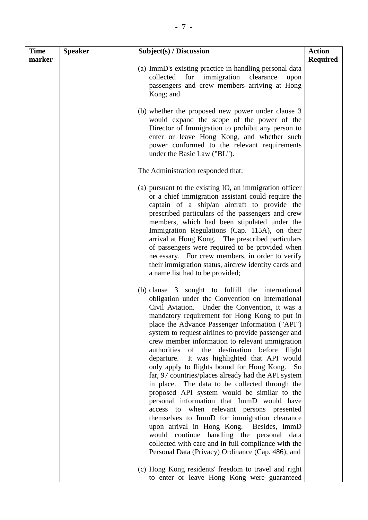| <b>Time</b><br>marker | <b>Speaker</b> | Subject(s) / Discussion                                                                                                                                                                                                                                                                                                                                                                                                                                                                                                                                                                                                                                                                                                                                                                                                                                                                                                                                                                                                            | <b>Action</b><br><b>Required</b> |
|-----------------------|----------------|------------------------------------------------------------------------------------------------------------------------------------------------------------------------------------------------------------------------------------------------------------------------------------------------------------------------------------------------------------------------------------------------------------------------------------------------------------------------------------------------------------------------------------------------------------------------------------------------------------------------------------------------------------------------------------------------------------------------------------------------------------------------------------------------------------------------------------------------------------------------------------------------------------------------------------------------------------------------------------------------------------------------------------|----------------------------------|
|                       |                | (a) ImmD's existing practice in handling personal data<br>collected for immigration clearance<br>upon<br>passengers and crew members arriving at Hong<br>Kong; and                                                                                                                                                                                                                                                                                                                                                                                                                                                                                                                                                                                                                                                                                                                                                                                                                                                                 |                                  |
|                       |                | (b) whether the proposed new power under clause 3<br>would expand the scope of the power of the<br>Director of Immigration to prohibit any person to<br>enter or leave Hong Kong, and whether such<br>power conformed to the relevant requirements<br>under the Basic Law ("BL").                                                                                                                                                                                                                                                                                                                                                                                                                                                                                                                                                                                                                                                                                                                                                  |                                  |
|                       |                | The Administration responded that:                                                                                                                                                                                                                                                                                                                                                                                                                                                                                                                                                                                                                                                                                                                                                                                                                                                                                                                                                                                                 |                                  |
|                       |                | (a) pursuant to the existing IO, an immigration officer<br>or a chief immigration assistant could require the<br>captain of a ship/an aircraft to provide the<br>prescribed particulars of the passengers and crew<br>members, which had been stipulated under the<br>Immigration Regulations (Cap. 115A), on their<br>arrival at Hong Kong. The prescribed particulars<br>of passengers were required to be provided when<br>necessary. For crew members, in order to verify<br>their immigration status, aircrew identity cards and<br>a name list had to be provided;                                                                                                                                                                                                                                                                                                                                                                                                                                                           |                                  |
|                       |                | (b) clause 3 sought to fulfill the international<br>obligation under the Convention on International<br>Civil Aviation. Under the Convention, it was a<br>mandatory requirement for Hong Kong to put in<br>place the Advance Passenger Information ("API")<br>system to request airlines to provide passenger and<br>crew member information to relevant immigration<br>authorities of the destination before flight<br>It was highlighted that API would<br>departure.<br>only apply to flights bound for Hong Kong.<br>So<br>far, 97 countries/places already had the API system<br>in place. The data to be collected through the<br>proposed API system would be similar to the<br>personal information that ImmD would have<br>access to when relevant persons presented<br>themselves to ImmD for immigration clearance<br>upon arrival in Hong Kong. Besides, ImmD<br>would continue handling the personal data<br>collected with care and in full compliance with the<br>Personal Data (Privacy) Ordinance (Cap. 486); and |                                  |
|                       |                | (c) Hong Kong residents' freedom to travel and right<br>to enter or leave Hong Kong were guaranteed                                                                                                                                                                                                                                                                                                                                                                                                                                                                                                                                                                                                                                                                                                                                                                                                                                                                                                                                |                                  |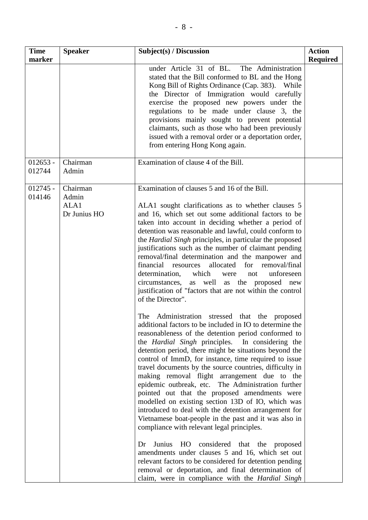| <b>Time</b><br>marker | <b>Speaker</b>                            | Subject(s) / Discussion                                                                                                                                                                                                                                                                                                                                                                                                                                                                                                                                                                                                                                                                                                                                                                                                                                                                                                                                                                                                                                                                                                                                                                                                                                                                                                                                                                                                                                                                                                                                                                                                                                                                                                                                                                  | <b>Action</b><br><b>Required</b> |
|-----------------------|-------------------------------------------|------------------------------------------------------------------------------------------------------------------------------------------------------------------------------------------------------------------------------------------------------------------------------------------------------------------------------------------------------------------------------------------------------------------------------------------------------------------------------------------------------------------------------------------------------------------------------------------------------------------------------------------------------------------------------------------------------------------------------------------------------------------------------------------------------------------------------------------------------------------------------------------------------------------------------------------------------------------------------------------------------------------------------------------------------------------------------------------------------------------------------------------------------------------------------------------------------------------------------------------------------------------------------------------------------------------------------------------------------------------------------------------------------------------------------------------------------------------------------------------------------------------------------------------------------------------------------------------------------------------------------------------------------------------------------------------------------------------------------------------------------------------------------------------|----------------------------------|
|                       |                                           | under Article 31 of BL. The Administration<br>stated that the Bill conformed to BL and the Hong<br>Kong Bill of Rights Ordinance (Cap. 383). While<br>the Director of Immigration would carefully<br>exercise the proposed new powers under the<br>regulations to be made under clause 3, the<br>provisions mainly sought to prevent potential<br>claimants, such as those who had been previously<br>issued with a removal order or a deportation order,<br>from entering Hong Kong again.                                                                                                                                                                                                                                                                                                                                                                                                                                                                                                                                                                                                                                                                                                                                                                                                                                                                                                                                                                                                                                                                                                                                                                                                                                                                                              |                                  |
| $012653 -$<br>012744  | Chairman<br>Admin                         | Examination of clause 4 of the Bill.                                                                                                                                                                                                                                                                                                                                                                                                                                                                                                                                                                                                                                                                                                                                                                                                                                                                                                                                                                                                                                                                                                                                                                                                                                                                                                                                                                                                                                                                                                                                                                                                                                                                                                                                                     |                                  |
| $012745 -$<br>014146  | Chairman<br>Admin<br>ALA1<br>Dr Junius HO | Examination of clauses 5 and 16 of the Bill.<br>ALA1 sought clarifications as to whether clauses 5<br>and 16, which set out some additional factors to be<br>taken into account in deciding whether a period of<br>detention was reasonable and lawful, could conform to<br>the <i>Hardial Singh</i> principles, in particular the proposed<br>justifications such as the number of claimant pending<br>removal/final determination and the manpower and<br>financial<br>resources allocated for<br>removal/final<br>determination,<br>which<br>unforeseen<br>were<br>not<br>circumstances, as well as the proposed new<br>justification of "factors that are not within the control<br>of the Director".<br>Administration stressed that the proposed<br>The<br>additional factors to be included in IO to determine the<br>reasonableness of the detention period conformed to<br>the <i>Hardial Singh</i> principles. In considering the<br>detention period, there might be situations beyond the<br>control of ImmD, for instance, time required to issue<br>travel documents by the source countries, difficulty in<br>making removal flight arrangement due to the<br>epidemic outbreak, etc. The Administration further<br>pointed out that the proposed amendments were<br>modelled on existing section 13D of IO, which was<br>introduced to deal with the detention arrangement for<br>Vietnamese boat-people in the past and it was also in<br>compliance with relevant legal principles.<br>HO considered that the proposed<br>Junius<br>Dr<br>amendments under clauses 5 and 16, which set out<br>relevant factors to be considered for detention pending<br>removal or deportation, and final determination of<br>claim, were in compliance with the <i>Hardial Singh</i> |                                  |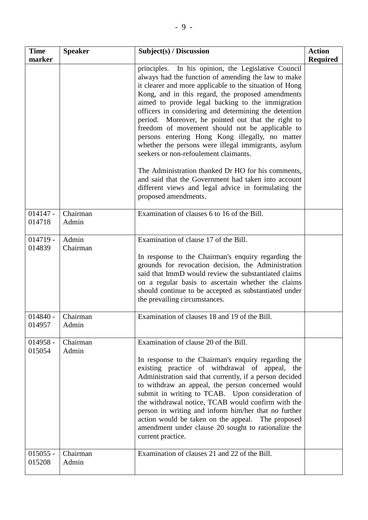| <b>Time</b><br>marker | <b>Speaker</b>    | Subject(s) / Discussion                                                                                                                                                                                                                                                                                                                                                                                                                                                                                                                                                                                                                                                                                                                                                  | <b>Action</b><br><b>Required</b> |
|-----------------------|-------------------|--------------------------------------------------------------------------------------------------------------------------------------------------------------------------------------------------------------------------------------------------------------------------------------------------------------------------------------------------------------------------------------------------------------------------------------------------------------------------------------------------------------------------------------------------------------------------------------------------------------------------------------------------------------------------------------------------------------------------------------------------------------------------|----------------------------------|
|                       |                   | principles. In his opinion, the Legislative Council<br>always had the function of amending the law to make<br>it clearer and more applicable to the situation of Hong<br>Kong, and in this regard, the proposed amendments<br>aimed to provide legal backing to the immigration<br>officers in considering and determining the detention<br>period. Moreover, he pointed out that the right to<br>freedom of movement should not be applicable to<br>persons entering Hong Kong illegally, no matter<br>whether the persons were illegal immigrants, asylum<br>seekers or non-refoulement claimants.<br>The Administration thanked Dr HO for his comments,<br>and said that the Government had taken into account<br>different views and legal advice in formulating the |                                  |
|                       |                   | proposed amendments.                                                                                                                                                                                                                                                                                                                                                                                                                                                                                                                                                                                                                                                                                                                                                     |                                  |
| $014147 -$<br>014718  | Chairman<br>Admin | Examination of clauses 6 to 16 of the Bill.                                                                                                                                                                                                                                                                                                                                                                                                                                                                                                                                                                                                                                                                                                                              |                                  |
| $014719 -$<br>014839  | Admin<br>Chairman | Examination of clause 17 of the Bill.<br>In response to the Chairman's enquiry regarding the<br>grounds for revocation decision, the Administration<br>said that ImmD would review the substantiated claims<br>on a regular basis to ascertain whether the claims<br>should continue to be accepted as substantiated under<br>the prevailing circumstances.                                                                                                                                                                                                                                                                                                                                                                                                              |                                  |
| $014840 -$<br>014957  | Chairman<br>Admin | Examination of clauses 18 and 19 of the Bill.                                                                                                                                                                                                                                                                                                                                                                                                                                                                                                                                                                                                                                                                                                                            |                                  |
| $014958 -$<br>015054  | Chairman<br>Admin | Examination of clause 20 of the Bill.<br>In response to the Chairman's enquiry regarding the<br>existing practice of withdrawal of appeal, the<br>Administration said that currently, if a person decided<br>to withdraw an appeal, the person concerned would<br>submit in writing to TCAB. Upon consideration of<br>the withdrawal notice, TCAB would confirm with the<br>person in writing and inform him/her that no further<br>action would be taken on the appeal. The proposed<br>amendment under clause 20 sought to rationalize the<br>current practice.                                                                                                                                                                                                        |                                  |
| $015055 -$<br>015208  | Chairman<br>Admin | Examination of clauses 21 and 22 of the Bill.                                                                                                                                                                                                                                                                                                                                                                                                                                                                                                                                                                                                                                                                                                                            |                                  |